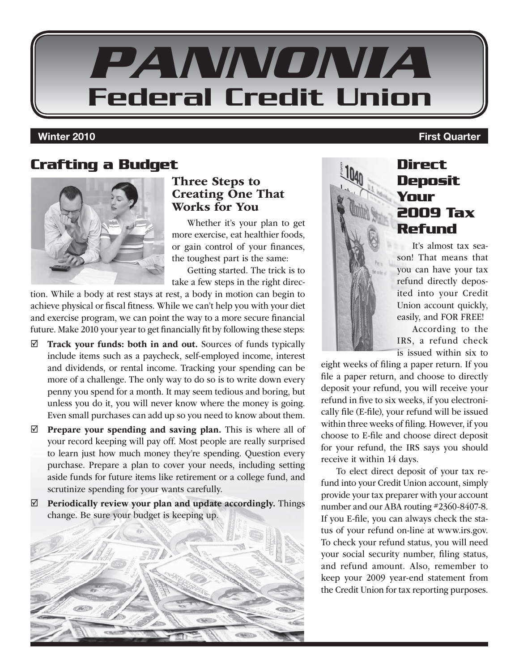

### **Crafting a Budget**



#### Three Steps to Creating One That Works for You

Whether it's your plan to get more exercise, eat healthier foods, or gain control of your finances, the toughest part is the same:

Getting started. The trick is to take a few steps in the right direc-

tion. While a body at rest stays at rest, a body in motion can begin to achieve physical or fiscal fitness. While we can't help you with your diet and exercise program, we can point the way to a more secure financial future. Make 2010 your year to get financially fit by following these steps:

- $\boxtimes$  Track your funds: both in and out. Sources of funds typically include items such as a paycheck, self-employed income, interest and dividends, or rental income. Tracking your spending can be more of a challenge. The only way to do so is to write down every penny you spend for a month. It may seem tedious and boring, but unless you do it, you will never know where the money is going. Even small purchases can add up so you need to know about them.
- $\boxtimes$  Prepare your spending and saving plan. This is where all of your record keeping will pay off. Most people are really surprised to learn just how much money they're spending. Question every purchase. Prepare a plan to cover your needs, including setting aside funds for future items like retirement or a college fund, and scrutinize spending for your wants carefully.
- $\boxtimes$  Periodically review your plan and update accordingly. Things change. Be sure your budget is keeping up.



### **Direct Deposit Your 2009 Tax Refund**

It's almost tax season! That means that you can have your tax refund directly deposited into your Credit Union account quickly, easily, and FOR FREE!

According to the IRS, a refund check is issued within six to

eight weeks of filing a paper return. If you file a paper return, and choose to directly deposit your refund, you will receive your refund in five to six weeks, if you electronically file (E-file), your refund will be issued within three weeks of filing. However, if you choose to E-file and choose direct deposit for your refund, the IRS says you should receive it within 14 days.

To elect direct deposit of your tax refund into your Credit Union account, simply provide your tax preparer with your account number and our ABA routing #2360-8407-8. If you E-file, you can always check the status of your refund on-line at www.irs.gov. To check your refund status, you will need your social security number, filing status, and refund amount. Also, remember to keep your 2009 year-end statement from the Credit Union for tax reporting purposes.

#### **Winter 2010 First Quarter**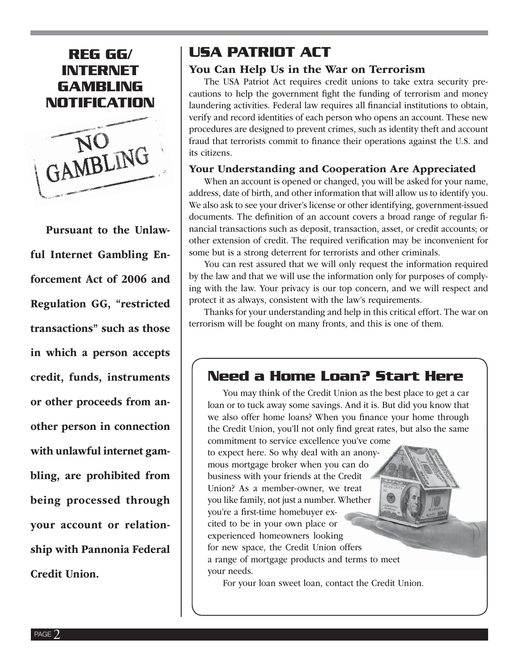#### **REG GG/ INTERNET GAMBLING NOTIFICATION**



Pursuant to the Unlawful Internet Gambling Enforcement Act of 2006 and Regulation GG, "restricted transactions" such as those in which a person accepts credit, funds, instruments or other proceeds from another person in connection with unlawful internet gambling, are prohibited from being processed through your account or relationship with Pannonia Federal Credit Union.

#### **USA PATRIOT ACT**

#### You Can Help Us in the War on Terrorism

The USA Patriot Act requires credit unions to take extra security precautions to help the government fight the funding of terrorism and money laundering activities. Federal law requires all financial institutions to obtain, verify and record identities of each person who opens an account. These new procedures are designed to prevent crimes, such as identity theft and account fraud that terrorists commit to finance their operations against the U.S. and its citizens.

#### Your Understanding and Cooperation Are Appreciated

When an account is opened or changed, you will be asked for your name, address, date of birth, and other information that will allow us to identify you. We also ask to see your driver's license or other identifying, government-issued documents. The definition of an account covers a broad range of regular financial transactions such as deposit, transaction, asset, or credit accounts; or other extension of credit. The required verification may be inconvenient for some but is a strong deterrent for terrorists and other criminals.

You can rest assured that we will only request the information required by the law and that we will use the information only for purposes of complying with the law. Your privacy is our top concern, and we will respect and protect it as always, consistent with the law's requirements.

Thanks for your understanding and help in this critical effort. The war on terrorism will be fought on many fronts, and this is one of them.

#### **Need a Home Loan? Start Here**

You may think of the Credit Union as the best place to get a car loan or to tuck away some savings. And it is. But did you know that we also offer home loans? When you finance your home through the Credit Union, you'll not only find great rates, but also the same

commitment to service excellence you've come to expect here. So why deal with an anonymous mortgage broker when you can do business with your friends at the Credit Union? As a member-owner, we treat you like family, not just a number. Whether you're a first-time homebuyer excited to be in your own place or experienced homeowners looking for new space, the Credit Union offers a range of mortgage products and terms to meet your needs.

For your loan sweet loan, contact the Credit Union.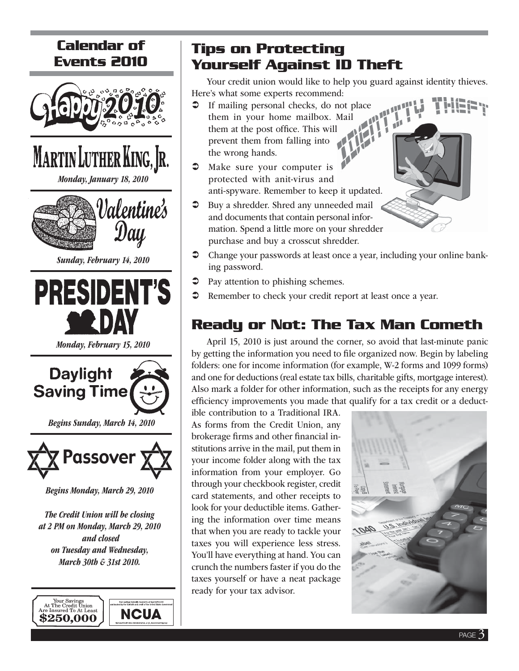# **Calendar of Events 2010**



MARTIN LUTHER KING, JR.

Monday, January 18, 2010



Sunday, February 14, 2010



Monday, February 15, 2010



Begins Sunday, March 14, 2010



Begins Monday, March 29, 2010

The Credit Union will be closing at 2 PM on Monday, March 29, 2010 and closed on Tuesday and Wednesday, March 30th & 31st 2010.



# **Tips on Protecting Yourself Against ID Theft**

Your credit union would like to help you guard against identity thieves. Here's what some experts recommend:

 $\mathbf{u}$ 

- $\circ$  If mailing personal checks, do not place them in your home mailbox. Mail them at the post office. This will prevent them from falling into the wrong hands.
- $\bullet$  Make sure your computer is protected with anit-virus and anti-spyware. Remember to keep it updated.
- Buy a shredder. Shred any unneeded mail and documents that contain personal information. Spend a little more on your shredder purchase and buy a crosscut shredder.
- Change your passwords at least once a year, including your online banking password.
- Pay attention to phishing schemes.
- Remember to check your credit report at least once a year.

# **Ready or Not: The Tax Man Cometh**

April 15, 2010 is just around the corner, so avoid that last-minute panic by getting the information you need to file organized now. Begin by labeling folders: one for income information (for example, W-2 forms and 1099 forms) and one for deductions (real estate tax bills, charitable gifts, mortgage interest). Also mark a folder for other information, such as the receipts for any energy efficiency improvements you made that qualify for a tax credit or a deduct-

ible contribution to a Traditional IRA. As forms from the Credit Union, any brokerage firms and other financial institutions arrive in the mail, put them in your income folder along with the tax information from your employer. Go through your checkbook register, credit card statements, and other receipts to look for your deductible items. Gathering the information over time means that when you are ready to tackle your taxes you will experience less stress. You'll have everything at hand. You can crunch the numbers faster if you do the taxes yourself or have a neat package ready for your tax advisor.